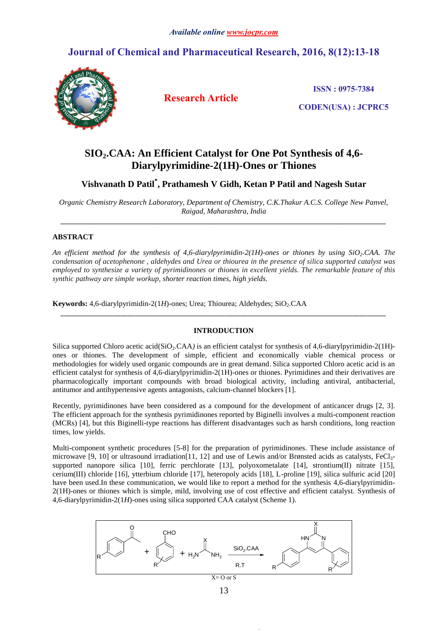# **Journal of Chemical and Pharmaceutical Research, 2016, 8(12):13-18**



**Research Article**

**ISSN : 0975-7384**

**CODEN(USA) : JCPRC5**

# **SIO2.CAA: An Efficient Catalyst for One Pot Synthesis of 4,6- Diarylpyrimidine-2(1H)-Ones or Thiones**

**Vishvanath D Patil\* , Prathamesh V Gidh, Ketan P Patil and Nagesh Sutar**

*Organic Chemistry Research Laboratory, Department of Chemistry, C.K.Thakur A.C.S. College New Panvel, Raigad, Maharashtra, India \_\_\_\_\_\_\_\_\_\_\_\_\_\_\_\_\_\_\_\_\_\_\_\_\_\_\_\_\_\_\_\_\_\_\_\_\_\_\_\_\_\_\_\_\_\_\_\_\_\_\_\_\_\_\_\_\_\_\_\_\_\_\_\_\_\_\_\_\_\_\_\_\_\_\_\_\_\_\_\_\_\_\_\_\_\_\_*

# **ABSTRACT**

*An efficient method for the synthesis of 4,6-diarylpyrimidin-2(1H)-ones or thiones by using SiO2.CAA. The condensation of acetophenone , aldehydes and Urea or thiourea in the presence of silica supported catalyst was employed to synthesize a variety of pyrimidinones or thiones in excellent yields. The remarkable feature of this synthic pathway are simple workup, shorter reaction times, high yields.*

**Keywords:** 4,6-diarylpyrimidin-2(1*H*)-ones; Urea; Thiourea; Aldehydes; SiO<sub>2</sub>.CAA

#### **INTRODUCTION**

*\_\_\_\_\_\_\_\_\_\_\_\_\_\_\_\_\_\_\_\_\_\_\_\_\_\_\_\_\_\_\_\_\_\_\_\_\_\_\_\_\_\_\_\_\_\_\_\_\_\_\_\_\_\_\_\_\_\_\_\_\_\_\_\_\_\_\_\_\_\_\_\_\_\_\_\_\_\_\_\_\_\_\_\_\_\_\_*

Silica supported Chloro acetic acid(SiO<sub>2</sub>.CAA) is an efficient catalyst for synthesis of 4,6-diarylpyrimidin-2(1H)ones or thiones. The development of simple, efficient and economically viable chemical process or methodologies for widely used organic compounds are in great demand. Silica supported Chloro acetic acid is an efficient catalyst for synthesis of 4,6-diarylpyrimidin-2(1H)-ones or thiones. Pyrimidines and their derivatives are pharmacologically important compounds with broad biological activity, including antiviral, antibacterial, antitumor and antihypertensive agents antagonists, calcium-channel blockers [1].

Recently, pyrimidinones have been considered as a compound for the development of anticancer drugs [2, 3]. The efficient approach for the synthesis pyrimidinones reported by Biginelli involves a multi-component reaction (MCRs) [4], but this Biginelli-type reactions has different disadvantages such as harsh conditions, long reaction times, low yields.

Multi-component synthetic procedures [5-8] for the preparation of pyrimidinones. These include assistance of microwave [9, 10] or ultrasound irradiation[11, 12] and use of Lewis and/or Brønsted acids as catalysts,  $FeCl<sub>3</sub>$ supported nanopore silica [10], ferric perchlorate [13], polyoxometalate [14], strontium(II) nitrate [15], cerium(III) chloride [16], ytterbium chloride [17], heteropoly acids [18], L-proline [19], silica sulfuric acid [20] have been used.In these communication, we would like to report a method for the synthesis 4,6-diarylpyrimidin-2(1H)-ones or thiones which is simple, mild, involving use of cost effective and efficient catalyst. Synthesis of 4,6-diarylpyrimidin-2(1*H*)-ones using silica supported CAA catalyst (Scheme 1).

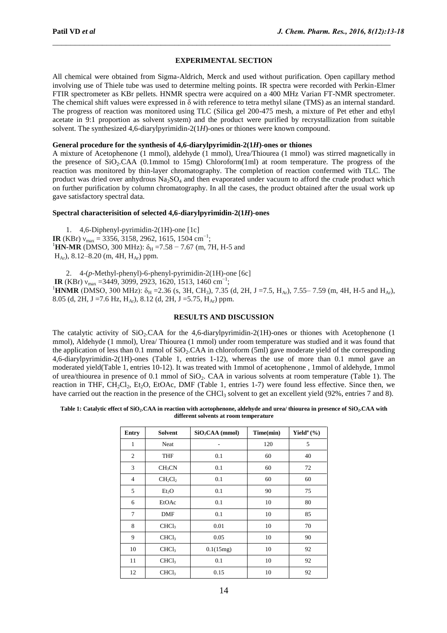# **EXPERIMENTAL SECTION**

\_\_\_\_\_\_\_\_\_\_\_\_\_\_\_\_\_\_\_\_\_\_\_\_\_\_\_\_\_\_\_\_\_\_\_\_\_\_\_\_\_\_\_\_\_\_\_\_\_\_\_\_\_\_\_\_\_\_\_\_\_\_\_\_\_\_\_\_\_\_\_\_\_\_\_

All chemical were obtained from Sigma-Aldrich, Merck and used without purification. Open capillary method involving use of Thiele tube was used to determine melting points. IR spectra were recorded with Perkin-Elmer FTIR spectrometer as KBr pellets. HNMR spectra were acquired on a 400 MHz Varian FT-NMR spectrometer. The chemical shift values were expressed in δ with reference to tetra methyl silane (TMS) as an internal standard. The progress of reaction was monitored using TLC (Silica gel 200-475 mesh, a mixture of Pet ether and ethyl acetate in 9:1 proportion as solvent system) and the product were purified by recrystallization from suitable solvent. The synthesized 4,6-diarylpyrimidin-2(1*H*)-ones or thiones were known compound.

# **General procedure for the synthesis of 4,6-diarylpyrimidin-2(1***H***)-ones or thiones**

A mixture of Acetophenone (1 mmol), aldehyde (1 mmol), Urea/Thiourea (1 mmol) was stirred magnetically in the presence of  $SiO_2$ .CAA (0.1mmol to 15mg) Chloroform(1ml) at room temperature. The progress of the reaction was monitored by thin-layer chromatography. The completion of reaction confermed with TLC. The product was dried over anhydrous  $Na<sub>2</sub>SO<sub>4</sub>$  and then evaporated under vacuum to afford the crude product which on further purification by column chromatography. In all the cases, the product obtained after the usual work up gave satisfactory spectral data.

#### **Spectral characterisition of selected 4,6-diarylpyrimidin-2(1***H***)-ones**

1. 4,6-Diphenyl-pyrimidin-2(1H)-one [1c] **IR** (KBr)  $v_{\text{max}} = 3356, 3158, 2962, 1615, 1504 \text{ cm}^{-1};$ <sup>1</sup>HN-MR (DMSO, 300 MHz):  $\delta_H$  =7.58 – 7.67 (m, 7H, H-5 and  $H_{Ar}$ ), 8.12–8.20 (m, 4H,  $H_{Ar}$ ) ppm.

2. 4-(*p*-Methyl-phenyl)-6-phenyl-pyrimidin-2(1H)-one [6c] **IR** (KBr)  $v_{\text{max}}$  =3449, 3099, 2923, 1620, 1513, 1460 cm<sup>−1</sup> ; <sup>1</sup>HNMR (DMSO, 300 MHz):  $\delta_H = 2.36$  (s, 3H, CH<sub>3</sub>), 7.35 (d, 2H, J = 7.5, H<sub>Ar</sub>), 7.55– 7.59 (m, 4H, H-5 and H<sub>Ar</sub>), 8.05 (d, 2H, J = 7.6 Hz, H<sub>Ar</sub>), 8.12 (d, 2H, J = 5.75, H<sub>Ar</sub>) ppm.

# **RESULTS AND DISCUSSION**

The catalytic activity of  $SiO<sub>2</sub>$ .CAA for the 4,6-diarylpyrimidin-2(1H)-ones or thiones with Acetophenone (1 mmol), Aldehyde (1 mmol), Urea/ Thiourea (1 mmol) under room temperature was studied and it was found that the application of less than 0.1 mmol of  $SiO<sub>2</sub>CAA$  in chloroform (5ml) gave moderate yield of the corresponding 4,6-diarylpyrimidin-2(1H)-ones (Table 1, entries 1-12), whereas the use of more than 0.1 mmol gave an moderated yield(Table 1, entries 10-12). It was treated with 1mmol of acetophenone , 1mmol of aldehyde, 1mmol of urea/thiourea in presence of 0.1 mmol of SiO<sub>2</sub>. CAA in various solvents at room temperature (Table 1). The reaction in THF, CH<sub>2</sub>Cl<sub>2</sub>, Et<sub>2</sub>O, EtOAc, DMF (Table 1, entries 1-7) were found less effective. Since then, we have carried out the reaction in the presence of the CHCl<sub>3</sub> solvent to get an excellent yield (92%, entries 7 and 8).

#### **Table 1: Catalytic effect of SiO2.CAA in reaction with acetophenone, aldehyde and urea/ thiourea in presence of SiO2.CAA with different solvents at room temperature**

| Entry          | <b>Solvent</b>     | $SiO2CAA$ (mmol) | Time(min) | Yield <sup>a</sup> $(\% )$ |
|----------------|--------------------|------------------|-----------|----------------------------|
| 1              | Neat               |                  | 120       | 5                          |
| $\overline{c}$ | <b>THF</b>         | 0.1              | 60        | 40                         |
| 3              | CH <sub>3</sub> CN | 0.1              | 60        | 72                         |
| $\overline{4}$ | $CH_2Cl_2$         | 0.1              | 60        | 60                         |
| 5              | Et <sub>2</sub> O  | 0.1              | 90        | 75                         |
| 6              | EtOAc              | 0.1              | 10        | 80                         |
| $\tau$         | <b>DMF</b>         | 0.1              | 10        | 85                         |
| 8              | CHCl <sub>3</sub>  | 0.01             | 10        | 70                         |
| 9              | CHCl <sub>3</sub>  | 0.05             | 10        | 90                         |
| 10             | CHCl <sub>3</sub>  | 0.1(15mg)        | 10        | 92                         |
| 11             | CHCl <sub>3</sub>  | 0.1              | 10        | 92                         |
| 12             | CHCl <sub>3</sub>  | 0.15             | 10        | 92                         |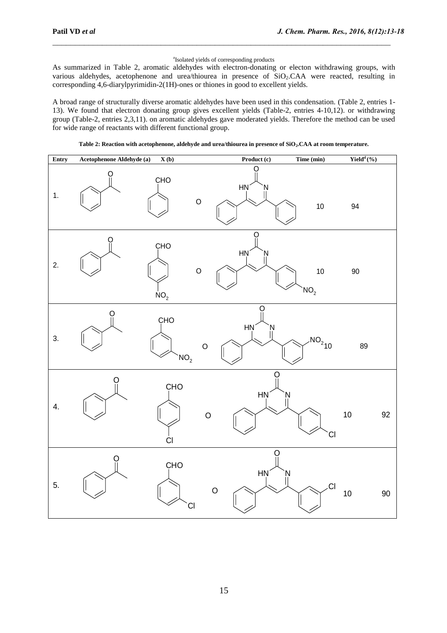#### a Isolated yields of corresponding products

\_\_\_\_\_\_\_\_\_\_\_\_\_\_\_\_\_\_\_\_\_\_\_\_\_\_\_\_\_\_\_\_\_\_\_\_\_\_\_\_\_\_\_\_\_\_\_\_\_\_\_\_\_\_\_\_\_\_\_\_\_\_\_\_\_\_\_\_\_\_\_\_\_\_\_

As summarized in Table 2, aromatic aldehydes with electron-donating or electon withdrawing groups, with various aldehydes, acetophenone and urea/thiourea in presence of SiO<sub>2</sub>.CAA were reacted, resulting in corresponding 4,6-diarylpyrimidin-2(1H)-ones or thiones in good to excellent yields.

A broad range of structurally diverse aromatic aldehydes have been used in this condensation. (Table 2, entries 1- 13). We found that electron donating group gives excellent yields (Table-2, entries 4-10,12). or withdrawing group (Table-2, entries 2,3,11). on aromatic aldehydes gave moderated yields. Therefore the method can be used for wide range of reactants with different functional group.

| Entry | Acetophenone Aldehyde (a) | $\mathbf{X}$ (b)                  | Product (c)                   | Time (min)            | $\mathbf{Yield}^d\left(\mathcal{V}_0\right)$ |        |
|-------|---------------------------|-----------------------------------|-------------------------------|-----------------------|----------------------------------------------|--------|
| 1.    | O                         | CHO<br>$\circ$                    | O<br>HŅ<br>N                  | $10\,$                | 94                                           |        |
| 2.    | Ö                         | CHO<br>$\circ$<br>NO <sub>2</sub> | O<br>HŅ<br>N                  | 10<br>NO <sub>2</sub> | 90                                           |        |
| 3.    | Ω                         | CHO<br>NO <sub>2</sub>            | ( )<br>HŅ<br>Ņ<br>$\mathsf O$ | $NO2$ <sub>10</sub>   | 89                                           |        |
| 4.    | O                         | CHO<br>C1                         | O<br>HŅ<br>$\circ$            | Ņ<br><b>CI</b>        | $10\,$                                       | 92     |
| 5.    | O                         | CHO<br>CI                         | O<br><b>HN</b><br>$\mathsf O$ | Ņ<br>CI               | $10$                                         | $90\,$ |

**Table 2: Reaction with acetophenone, aldehyde and urea/thiourea in presence of SiO2.CAA at room temperature.**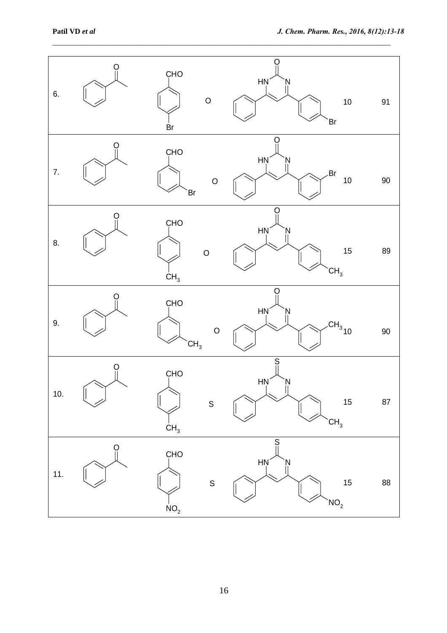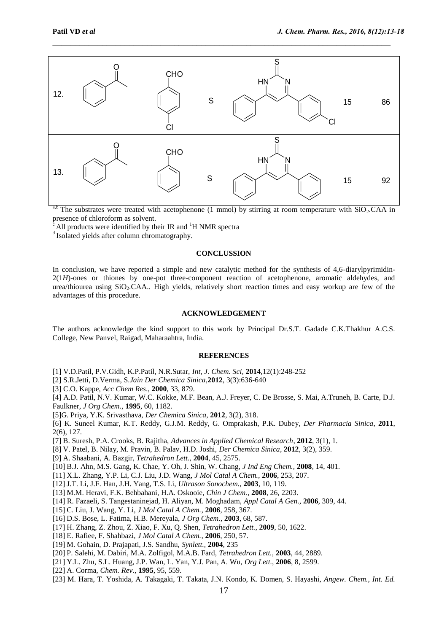

\_\_\_\_\_\_\_\_\_\_\_\_\_\_\_\_\_\_\_\_\_\_\_\_\_\_\_\_\_\_\_\_\_\_\_\_\_\_\_\_\_\_\_\_\_\_\_\_\_\_\_\_\_\_\_\_\_\_\_\_\_\_\_\_\_\_\_\_\_\_\_\_\_\_\_

<sup>a,b</sup> The substrates were treated with acetophenone (1 mmol) by stirring at room temperature with  $SiO_2$ .CAA in presence of chloroform as solvent.

All products were identified by their IR and  ${}^{1}H$  NMR spectra

<sup>d</sup> Isolated yields after column chromatography.

### **CONCLUSSION**

In conclusion, we have reported a simple and new catalytic method for the synthesis of 4,6-diarylpyrimidin-2(1*H*)-ones or thiones by one-pot three-component reaction of acetophenone, aromatic aldehydes, and urea/thiourea using  $SiO<sub>2</sub>$ . CAA.. High yields, relatively short reaction times and easy workup are few of the advantages of this procedure.

### **ACKNOWLEDGEMENT**

The authors acknowledge the kind support to this work by Principal Dr.S.T. Gadade C.K.Thakhur A.C.S. College, New Panvel, Raigad, Maharaahtra, India.

#### **REFERENCES**

- [1] V.D.Patil, P.V.Gidh, K.P.Patil, N.R.Sutar, *Int, J. Chem. Sci*, **2014**,12(1):248-252
- [2] S.R.Jetti, D.Verma, S.*Jain Der Chemica Sinica*,**2012**, 3(3):636-640
- [3] C.O. Kappe, *Acc Chem Res*., **2000**, 33, 879.

[4] A.D. Patil, N.V. Kumar, W.C. Kokke, M.F. Bean, A.J. Freyer, C. De Brosse, S. Mai, A.Truneh, B. Carte, D.J. Faulkner, *J Org Chem.,* **1995**, 60, 1182.

[5]G. Priya, Y.K. Srivasthava, *Der Chemica Sinica*, **2012**, 3(2), 318.

[6] K. Suneel Kumar, K.T. Reddy, G.J.M. Reddy, G. Omprakash, P.K. Dubey, *Der Pharmacia Sinica*, **2011**, 2(6), 127.

- [7] B. Suresh, P.A. Crooks, B. Rajitha, *Advances in Applied Chemical Research*, **2012**, 3(1), 1.
- [8] V. Patel, B. Nilay, M. Pravin, B. Palav, H.D. Joshi, *Der Chemica Sinica*, **2012**, 3(2), 359.
- [9] A. Shaabani, A. Bazgir, *Tetrahedron Lett.,* **2004**, 45, 2575.
- [10] B.J. Ahn, M.S. Gang, K. Chae, Y. Oh, J. Shin, W. Chang, *J Ind Eng Chem.,* **2008**, 14, 401.
- [11] X.L. Zhang, Y.P. Li, C.J. Liu, J.D. Wang, *J Mol Catal A Chem.,* **2006**, 253, 207.
- [12] J.T. Li, J.F. Han, J.H. Yang, T.S. Li, *Ultrason Sonochem.,* **2003**, 10, 119.
- [13] M.M. Heravi, F.K. Behbahani, H.A. Oskooie, *Chin J Chem.,* **2008**, 26, 2203.
- [14] R. Fazaeli, S. Tangestaninejad, H. Aliyan, M. Moghadam, *Appl Catal A Gen.,* **2006**, 309, 44.
- [15] C. Liu, J. Wang, Y. Li, *J Mol Catal A Chem.,* **2006**, 258, 367.
- [16] D.S. Bose, L. Fatima, H.B. Mereyala, *J Org Chem.,* **2003**, 68, 587.
- [17] H. Zhang, Z. Zhou, Z. Xiao, F. Xu, Q. Shen, *Tetrahedron Lett.,* **2009**, 50, 1622.
- [18] E. Rafiee, F. Shahbazi, *J Mol Catal A Chem.,* **2006**, 250, 57.
- [19] M. Gohain, D. Prajapati, J.S. Sandhu, *Synlett.,* **2004**, 235
- [20] P. Salehi, M. Dabiri, M.A. Zolfigol, M.A.B. Fard, *Tetrahedron Lett.,* **2003**, 44, 2889.
- [21] Y.L. Zhu, S.L. Huang, J.P. Wan, L. Yan, Y.J. Pan, A. Wu, *Org Lett.,* **2006**, 8, 2599.
- [22] A. Corma, *Chem. Rev*., **1995**, 95, 559.
- [23] M. Hara, T. Yoshida, A. Takagaki, T. Takata, J.N. Kondo, K. Domen, S. Hayashi, *Angew. Chem., Int. Ed.*